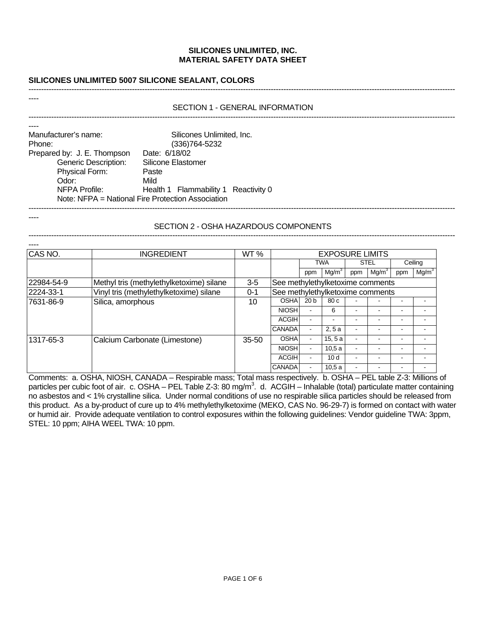# **SILICONES UNLIMITED 5007 SILICONE SEALANT, COLORS**

#### SECTION 1 - GENERAL INFORMATION -------------------------------------------------------------------------------------------------------------------------------------------------------------------------

-------------------------------------------------------------------------------------------------------------------------------------------------------------------------

| Manufacturer's name:        | Silicones Unlimited, Inc.                         |
|-----------------------------|---------------------------------------------------|
| Phone:                      | (336) 764-5232                                    |
| Prepared by: J. E. Thompson | Date: 6/18/02                                     |
| <b>Generic Description:</b> | Silicone Elastomer                                |
| Physical Form:              | Paste                                             |
| Odor:                       | Mild                                              |
| NFPA Profile:               | Health 1 Flammability 1 Reactivity 0              |
|                             | Note: NFPA = National Fire Protection Association |

----

----

#### SECTION 2 - OSHA HAZARDOUS COMPONENTS -------------------------------------------------------------------------------------------------------------------------------------------------------------------------

| CAS NO.    | <b>INGREDIENT</b>                        | WT %      | <b>EXPOSURE LIMITS</b>           |                          |                   |                          |                   |                          |                   |
|------------|------------------------------------------|-----------|----------------------------------|--------------------------|-------------------|--------------------------|-------------------|--------------------------|-------------------|
|            |                                          |           | <b>TWA</b>                       |                          | <b>STEL</b>       |                          | Ceiling           |                          |                   |
|            |                                          |           |                                  | ppm                      | Mg/m <sup>3</sup> | ppm                      | Mg/m <sup>3</sup> | ppm                      | Mg/m <sup>3</sup> |
| 22984-54-9 | Methyl tris (methylethylketoxime) silane | $3-5$     | See methylethylketoxime comments |                          |                   |                          |                   |                          |                   |
| 2224-33-1  | Vinyl tris (methylethylketoxime) silane  | $0 - 1$   | See methylethylketoxime comments |                          |                   |                          |                   |                          |                   |
| 7631-86-9  | Silica, amorphous                        | 10        | <b>OSHA</b>                      | 20 <sub>b</sub>          | 80c               |                          |                   |                          |                   |
|            |                                          |           | <b>NIOSH</b>                     |                          | 6                 |                          |                   | $\overline{\phantom{0}}$ |                   |
|            |                                          |           | ACGIH                            |                          |                   |                          |                   |                          |                   |
|            |                                          |           | <b>CANADA</b>                    | $\blacksquare$           | 2, 5a             | $\blacksquare$           | -                 | $\sim$                   | -                 |
| 1317-65-3  | Calcium Carbonate (Limestone)            | $35 - 50$ | <b>OSHA</b>                      | $\sim$                   | 15, 5a            | $\overline{\phantom{a}}$ |                   |                          |                   |
|            |                                          |           | <b>NIOSH</b>                     | ۰.                       | 10.5a             | $\blacksquare$           | -                 | $\overline{\phantom{a}}$ |                   |
|            |                                          |           | ACGIH                            | ۰                        | 10d               | $\blacksquare$           | -                 | $\overline{\phantom{a}}$ | -                 |
|            |                                          |           | <b>CANADA</b>                    | $\overline{\phantom{0}}$ | 10.5a             | $\overline{\phantom{a}}$ |                   |                          |                   |

Comments: a. OSHA, NIOSH, CANADA – Respirable mass; Total mass respectively. b. OSHA – PEL table Z-3: Millions of particles per cubic foot of air. c. OSHA – PEL Table Z-3: 80 mg/m<sup>3</sup>. d. ACGIH – Inhalable (total) particulate matter containing no asbestos and < 1% crystalline silica. Under normal conditions of use no respirable silica particles should be released from this product. As a by-product of cure up to 4% methylethylketoxime (MEKO, CAS No. 96-29-7) is formed on contact with water or humid air. Provide adequate ventilation to control exposures within the following guidelines: Vendor guideline TWA: 3ppm, STEL: 10 ppm; AIHA WEEL TWA: 10 ppm.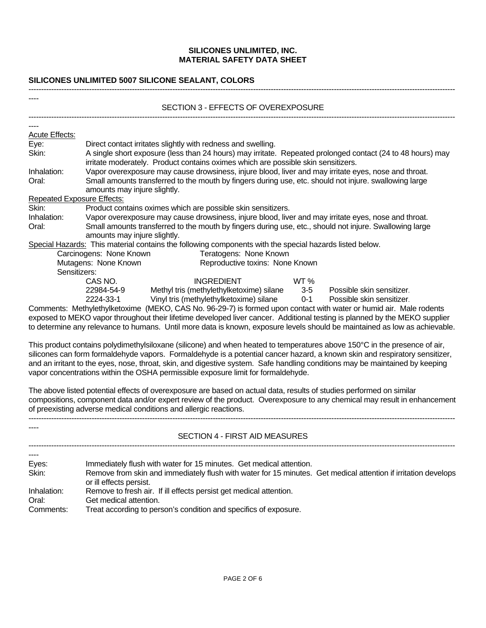## **SILICONES UNLIMITED 5007 SILICONE SEALANT, COLORS**

|                       | SECTION 3 - EFFECTS OF OVEREXPOSURE                                                                                                                                                                                                                      |  |  |  |  |  |
|-----------------------|----------------------------------------------------------------------------------------------------------------------------------------------------------------------------------------------------------------------------------------------------------|--|--|--|--|--|
|                       |                                                                                                                                                                                                                                                          |  |  |  |  |  |
| <b>Acute Effects:</b> |                                                                                                                                                                                                                                                          |  |  |  |  |  |
| Eye:                  | Direct contact irritates slightly with redness and swelling.                                                                                                                                                                                             |  |  |  |  |  |
| Skin:                 | A single short exposure (less than 24 hours) may irritate. Repeated prolonged contact (24 to 48 hours) may<br>irritate moderately. Product contains oximes which are possible skin sensitizers.                                                          |  |  |  |  |  |
| Inhalation:           | Vapor overexposure may cause drowsiness, injure blood, liver and may irritate eyes, nose and throat.                                                                                                                                                     |  |  |  |  |  |
| Oral:                 | Small amounts transferred to the mouth by fingers during use, etc. should not injure. swallowing large                                                                                                                                                   |  |  |  |  |  |
|                       | amounts may injure slightly.                                                                                                                                                                                                                             |  |  |  |  |  |
|                       | <b>Repeated Exposure Effects:</b>                                                                                                                                                                                                                        |  |  |  |  |  |
| Skin:                 | Product contains oximes which are possible skin sensitizers.                                                                                                                                                                                             |  |  |  |  |  |
| Inhalation:           | Vapor overexposure may cause drowsiness, injure blood, liver and may irritate eyes, nose and throat.                                                                                                                                                     |  |  |  |  |  |
| Oral:                 | Small amounts transferred to the mouth by fingers during use, etc., should not injure. Swallowing large                                                                                                                                                  |  |  |  |  |  |
|                       | amounts may injure slightly.                                                                                                                                                                                                                             |  |  |  |  |  |
|                       | Special Hazards: This material contains the following components with the special hazards listed below.                                                                                                                                                  |  |  |  |  |  |
|                       | Carcinogens: None Known<br>Teratogens: None Known                                                                                                                                                                                                        |  |  |  |  |  |
|                       | Reproductive toxins: None Known<br>Mutagens: None Known                                                                                                                                                                                                  |  |  |  |  |  |
|                       | Sensitizers:                                                                                                                                                                                                                                             |  |  |  |  |  |
|                       | CAS NO.<br><b>INGREDIENT</b><br>WT%                                                                                                                                                                                                                      |  |  |  |  |  |
|                       | 22984-54-9<br>Methyl tris (methylethylketoxime) silane<br>Possible skin sensitizer.<br>$3-5$                                                                                                                                                             |  |  |  |  |  |
|                       | $0 - 1$<br>2224-33-1<br>Vinyl tris (methylethylketoxime) silane<br>Possible skin sensitizer.                                                                                                                                                             |  |  |  |  |  |
|                       | Comments: Methylethylketoxime (MEKO, CAS No. 96-29-7) is formed upon contact with water or humid air. Male rodents                                                                                                                                       |  |  |  |  |  |
|                       | exposed to MEKO vapor throughout their lifetime developed liver cancer. Additional testing is planned by the MEKO supplier<br>to determine any relevance to humans. Until more data is known, exposure levels should be maintained as low as achievable. |  |  |  |  |  |
|                       | This product contains polydimethylsiloxane (silicone) and when heated to temperatures above 150°C in the presence of air,                                                                                                                                |  |  |  |  |  |
|                       | silicones can form formaldehyde vapors. Formaldehyde is a potential cancer hazard, a known skin and respiratory sensitizer,                                                                                                                              |  |  |  |  |  |
|                       | and an irritant to the eyes, nose, throat, skin, and digestive system. Safe handling conditions may be maintained by keeping                                                                                                                             |  |  |  |  |  |
|                       | vapor concentrations within the OSHA permissible exposure limit for formaldehyde.                                                                                                                                                                        |  |  |  |  |  |
|                       | The above listed potential effects of overexposure are based on actual data, results of studies performed on similar                                                                                                                                     |  |  |  |  |  |
|                       | compositions, component data and/or expert review of the product. Overexposure to any chemical may result in enhancement                                                                                                                                 |  |  |  |  |  |

of preexisting adverse medical conditions and allergic reactions. ------------------------------------------------------------------------------------------------------------------------------------------------------------------------- ---- SECTION 4 - FIRST AID MEASURES ------------------------------------------------------------------------------------------------------------------------------------------------------------------------- ---- Eyes: Immediately flush with water for 15 minutes. Get medical attention. Skin: Remove from skin and immediately flush with water for 15 minutes. Get medical attention if irritation develops or ill effects persist. Inhalation: Remove to fresh air. If ill effects persist get medical attention. Oral: Get medical attention. Comments: Treat according to person's condition and specifics of exposure.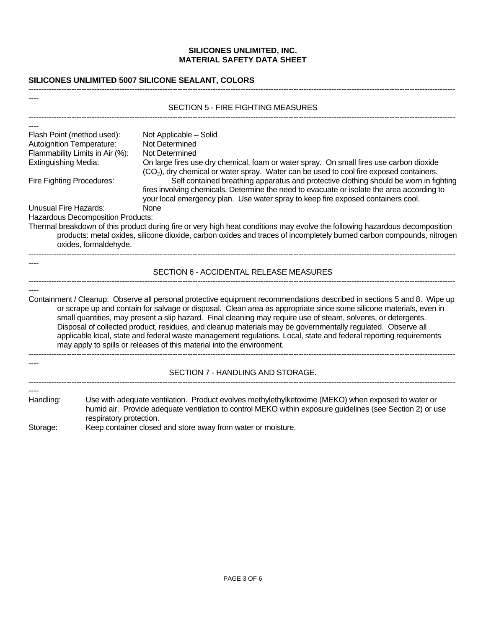# **SILICONES UNLIMITED 5007 SILICONE SEALANT, COLORS**

|                                                                                                                                                               | <b>SECTION 5 - FIRE FIGHTING MEASURES</b>                                                                                                                                                                                                                                                                                                                                                                                                                                                                                                                                                                                                                                     |
|---------------------------------------------------------------------------------------------------------------------------------------------------------------|-------------------------------------------------------------------------------------------------------------------------------------------------------------------------------------------------------------------------------------------------------------------------------------------------------------------------------------------------------------------------------------------------------------------------------------------------------------------------------------------------------------------------------------------------------------------------------------------------------------------------------------------------------------------------------|
|                                                                                                                                                               |                                                                                                                                                                                                                                                                                                                                                                                                                                                                                                                                                                                                                                                                               |
| Flash Point (method used):<br>Autoignition Temperature:<br>Flammability Limits in Air (%):<br><b>Extinguishing Media:</b><br><b>Fire Fighting Procedures:</b> | Not Applicable - Solid<br>Not Determined<br>Not Determined<br>On large fires use dry chemical, foam or water spray. On small fires use carbon dioxide<br>(CO <sub>2</sub> ), dry chemical or water spray. Water can be used to cool fire exposed containers.<br>Self contained breathing apparatus and protective clothing should be worn in fighting                                                                                                                                                                                                                                                                                                                         |
| <b>Unusual Fire Hazards:</b>                                                                                                                                  | fires involving chemicals. Determine the need to evacuate or isolate the area according to<br>your local emergency plan. Use water spray to keep fire exposed containers cool.<br>None                                                                                                                                                                                                                                                                                                                                                                                                                                                                                        |
|                                                                                                                                                               | Hazardous Decomposition Products:<br>Thermal breakdown of this product during fire or very high heat conditions may evolve the following hazardous decomposition<br>products: metal oxides, silicone dioxide, carbon oxides and traces of incompletely burned carbon compounds, nitrogen<br>oxides, formaldehyde.                                                                                                                                                                                                                                                                                                                                                             |
|                                                                                                                                                               | SECTION 6 - ACCIDENTAL RELEASE MEASURES                                                                                                                                                                                                                                                                                                                                                                                                                                                                                                                                                                                                                                       |
|                                                                                                                                                               | Containment / Cleanup: Observe all personal protective equipment recommendations described in sections 5 and 8. Wipe up<br>or scrape up and contain for salvage or disposal. Clean area as appropriate since some silicone materials, even in<br>small quantities, may present a slip hazard. Final cleaning may require use of steam, solvents, or detergents.<br>Disposal of collected product, residues, and cleanup materials may be governmentally regulated. Observe all<br>applicable local, state and federal waste management regulations. Local, state and federal reporting requirements<br>may apply to spills or releases of this material into the environment. |
|                                                                                                                                                               | SECTION 7 - HANDLING AND STORAGE.                                                                                                                                                                                                                                                                                                                                                                                                                                                                                                                                                                                                                                             |
| Handling:<br>Storage:                                                                                                                                         | Use with adequate ventilation. Product evolves methylethylketoxime (MEKO) when exposed to water or<br>humid air. Provide adequate ventilation to control MEKO within exposure guidelines (see Section 2) or use<br>respiratory protection.<br>Keep container closed and store away from water or moisture.                                                                                                                                                                                                                                                                                                                                                                    |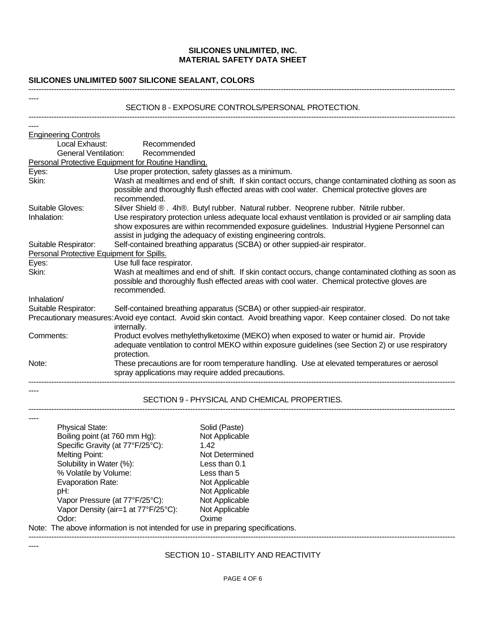# **SILICONES UNLIMITED 5007 SILICONE SEALANT, COLORS**

----

----

# SECTION 8 - EXPOSURE CONTROLS/PERSONAL PROTECTION.

-------------------------------------------------------------------------------------------------------------------------------------------------------------------------

| <b>Engineering Controls</b>                                  |                                                                                                                                                                                                                                                                          |                                                                                                                                                                                                     |  |  |  |  |
|--------------------------------------------------------------|--------------------------------------------------------------------------------------------------------------------------------------------------------------------------------------------------------------------------------------------------------------------------|-----------------------------------------------------------------------------------------------------------------------------------------------------------------------------------------------------|--|--|--|--|
| Local Exhaust:                                               | Recommended                                                                                                                                                                                                                                                              |                                                                                                                                                                                                     |  |  |  |  |
| <b>General Ventilation:</b>                                  | Recommended                                                                                                                                                                                                                                                              |                                                                                                                                                                                                     |  |  |  |  |
|                                                              | Personal Protective Equipment for Routine Handling.                                                                                                                                                                                                                      |                                                                                                                                                                                                     |  |  |  |  |
| Eyes:<br>Use proper protection, safety glasses as a minimum. |                                                                                                                                                                                                                                                                          |                                                                                                                                                                                                     |  |  |  |  |
| Skin:                                                        | recommended.                                                                                                                                                                                                                                                             | Wash at mealtimes and end of shift. If skin contact occurs, change contaminated clothing as soon as<br>possible and thoroughly flush effected areas with cool water. Chemical protective gloves are |  |  |  |  |
| Suitable Gloves:                                             | Silver Shield ®. 4h®. Butyl rubber. Natural rubber. Neoprene rubber. Nitrile rubber.                                                                                                                                                                                     |                                                                                                                                                                                                     |  |  |  |  |
| Inhalation:                                                  | Use respiratory protection unless adequate local exhaust ventilation is provided or air sampling data<br>show exposures are within recommended exposure guidelines. Industrial Hygiene Personnel can<br>assist in judging the adequacy of existing engineering controls. |                                                                                                                                                                                                     |  |  |  |  |
| Suitable Respirator:                                         |                                                                                                                                                                                                                                                                          | Self-contained breathing apparatus (SCBA) or other suppied-air respirator.                                                                                                                          |  |  |  |  |
|                                                              | Personal Protective Equipment for Spills.<br>Use full face respirator.                                                                                                                                                                                                   |                                                                                                                                                                                                     |  |  |  |  |
| Eyes:                                                        |                                                                                                                                                                                                                                                                          |                                                                                                                                                                                                     |  |  |  |  |
| Skin:                                                        | recommended.                                                                                                                                                                                                                                                             | Wash at mealtimes and end of shift. If skin contact occurs, change contaminated clothing as soon as<br>possible and thoroughly flush effected areas with cool water. Chemical protective gloves are |  |  |  |  |
| Inhalation/                                                  |                                                                                                                                                                                                                                                                          |                                                                                                                                                                                                     |  |  |  |  |
| Suitable Respirator:                                         |                                                                                                                                                                                                                                                                          | Self-contained breathing apparatus (SCBA) or other suppied-air respirator.                                                                                                                          |  |  |  |  |
|                                                              | internally.                                                                                                                                                                                                                                                              | Precautionary measures: Avoid eye contact. Avoid skin contact. Avoid breathing vapor. Keep container closed. Do not take                                                                            |  |  |  |  |
| Comments:                                                    | protection.                                                                                                                                                                                                                                                              | Product evolves methylethylketoxime (MEKO) when exposed to water or humid air. Provide<br>adequate ventilation to control MEKO within exposure guidelines (see Section 2) or use respiratory        |  |  |  |  |
| Note:                                                        |                                                                                                                                                                                                                                                                          | These precautions are for room temperature handling. Use at elevated temperatures or aerosol<br>spray applications may require added precautions.                                                   |  |  |  |  |
|                                                              |                                                                                                                                                                                                                                                                          | SECTION 9 - PHYSICAL AND CHEMICAL PROPERTIES.                                                                                                                                                       |  |  |  |  |
|                                                              |                                                                                                                                                                                                                                                                          |                                                                                                                                                                                                     |  |  |  |  |
| <b>Physical State:</b>                                       |                                                                                                                                                                                                                                                                          | Solid (Paste)                                                                                                                                                                                       |  |  |  |  |
|                                                              | Boiling point (at 760 mm Hg):                                                                                                                                                                                                                                            | Not Applicable                                                                                                                                                                                      |  |  |  |  |
|                                                              | Specific Gravity (at 77°F/25°C):                                                                                                                                                                                                                                         | 1.42                                                                                                                                                                                                |  |  |  |  |
| <b>Melting Point:</b>                                        |                                                                                                                                                                                                                                                                          | Not Determined                                                                                                                                                                                      |  |  |  |  |
| Solubility in Water (%):                                     |                                                                                                                                                                                                                                                                          | Less than 0.1                                                                                                                                                                                       |  |  |  |  |
| % Volatile by Volume:                                        |                                                                                                                                                                                                                                                                          | Less than 5                                                                                                                                                                                         |  |  |  |  |
| <b>Evaporation Rate:</b>                                     |                                                                                                                                                                                                                                                                          | Not Applicable                                                                                                                                                                                      |  |  |  |  |
| pH:                                                          |                                                                                                                                                                                                                                                                          | Not Applicable                                                                                                                                                                                      |  |  |  |  |

Odor: Castle Controlled Communication of Communication Communication of Communication Communication Communication Communication Communication Communication Communication Communication Communication Communication Communicat Note: The above information is not intended for use in preparing specifications.

Vapor Pressure (at 77°F/25°C): Not Applicable Vapor Density (air=1 at 77°F/25°C): Not Applicable

-------------------------------------------------------------------------------------------------------------------------------------------------------------------------

## SECTION 10 - STABILITY AND REACTIVITY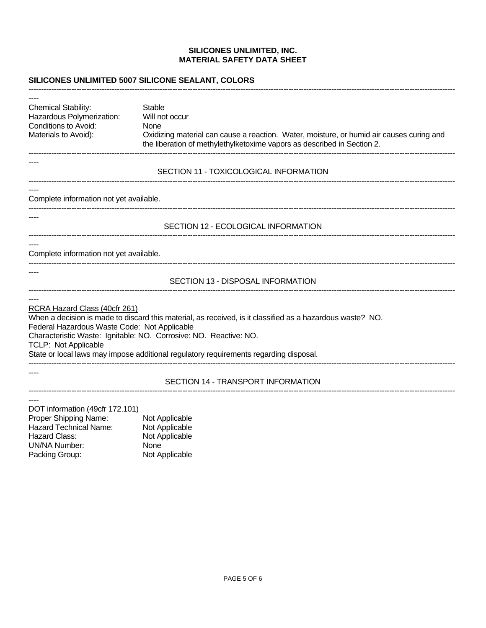-------------------------------------------------------------------------------------------------------------------------------------------------------------------------

### **SILICONES UNLIMITED 5007 SILICONE SEALANT, COLORS**

---- Chemical Stability: Stable Hazardous Polymerization: Will not occur Conditions to Avoid: None Materials to Avoid): Oxidizing material can cause a reaction. Water, moisture, or humid air causes curing and the liberation of methylethylketoxime vapors as described in Section 2. ------------------------------------------------------------------------------------------------------------------------------------------------------------------------- ---- SECTION 11 - TOXICOLOGICAL INFORMATION ------------------------------------------------------------------------------------------------------------------------------------------------------------------------- ---- Complete information not yet available. ------------------------------------------------------------------------------------------------------------------------------------------------------------------------- ---- SECTION 12 - ECOLOGICAL INFORMATION ------------------------------------------------------------------------------------------------------------------------------------------------------------------------- ---- Complete information not yet available. ------------------------------------------------------------------------------------------------------------------------------------------------------------------------- ---- SECTION 13 - DISPOSAL INFORMATION ------------------------------------------------------------------------------------------------------------------------------------------------------------------------- ---- RCRA Hazard Class (40cfr 261) When a decision is made to discard this material, as received, is it classified as a hazardous waste? NO. Federal Hazardous Waste Code: Not Applicable Characteristic Waste: Ignitable: NO. Corrosive: NO. Reactive: NO. TCLP: Not Applicable State or local laws may impose additional regulatory requirements regarding disposal. ------------------------------------------------------------------------------------------------------------------------------------------------------------------------- ---- SECTION 14 - TRANSPORT INFORMATION ------------------------------------------------------------------------------------------------------------------------------------------------------------------------- ---- DOT information (49cfr 172.101) Proper Shipping Name: Not Applicable<br>
Hazard Technical Name: Not Applicable Hazard Technical Name:<br>Hazard Class: Not Applicable

UN/NA Number: None

Packing Group: Not Applicable